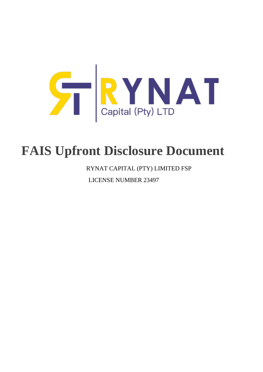

# **FAIS Upfront Disclosure Document**

RYNAT CAPITAL (PTY) LIMITED FSP

LICENSE NUMBER 23497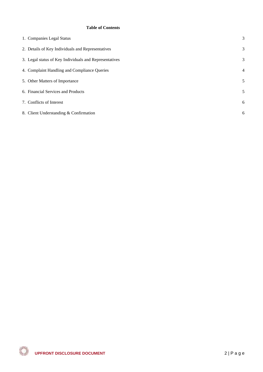#### **Table of Contents**

| 1. Companies Legal Status                              | 3              |
|--------------------------------------------------------|----------------|
| 2. Details of Key Individuals and Representatives      | 3              |
| 3. Legal status of Key Individuals and Representatives | 3              |
| 4. Complaint Handling and Compliance Queries           | $\overline{4}$ |
| 5. Other Matters of Importance                         | 5              |
| 6. Financial Services and Products                     | 5              |
| 7. Conflicts of Interest                               | 6              |
| 8. Client Understanding & Confirmation                 | 6              |
|                                                        |                |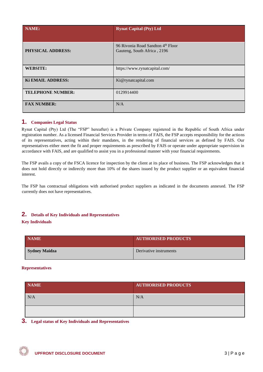| NAME:                    | <b>Rynat Capital (Pty) Ltd</b>                                   |
|--------------------------|------------------------------------------------------------------|
| <b>PHYSICAL ADDRESS:</b> | 96 Rivonia Road Sandton 4th Floor<br>Gauteng, South Africa, 2196 |
| <b>WEBSITE:</b>          | https://www.rynatcapital.com/                                    |
| Ki EMAIL ADDRESS:        | Ki@rynatcapital.com                                              |
| <b>TELEPHONE NUMBER:</b> | 0129914400                                                       |
| <b>FAX NUMBER:</b>       | N/A                                                              |

## <span id="page-2-0"></span>**1. Companies Legal Status**

Rynat Capital (Pty) Ltd (The "FSP" hereafter) is a Private Company registered in the Republic of South Africa under registration number. As a licensed Financial Services Provider in terms of FAIS, the FSP accepts responsibility for the actions of its representatives, acting within their mandates, in the rendering of financial services as defined by FAIS. Our representatives either meet the fit and proper requirements as prescribed by FAIS or operate under appropriate supervision in accordance with FAIS, and are qualified to assist you in a professional manner with your financial requirements.

The FSP avails a copy of the FSCA licence for inspection by the client at its place of business. The FSP acknowledges that it does not hold directly or indirectly more than 10% of the shares issued by the product supplier or an equivalent financial interest.

The FSP has contractual obligations with authorised product suppliers as indicated in the documents annexed. The FSP currently does not have representatives.

## <span id="page-2-1"></span>**2. Details of Key Individuals and Representatives**

#### **Key Individuals**

| <b>NAME</b>          | <b>AUTHORISED PRODUCTS</b> |
|----------------------|----------------------------|
| <b>Sydney Maidza</b> | Derivative instruments     |

#### **Representatives**

| <b>NAME</b> | <b>AUTHORISED PRODUCTS</b> |
|-------------|----------------------------|
| N/A         | N/A                        |
|             |                            |

### <span id="page-2-2"></span>**3. Legal status of Key Individuals and Representatives**

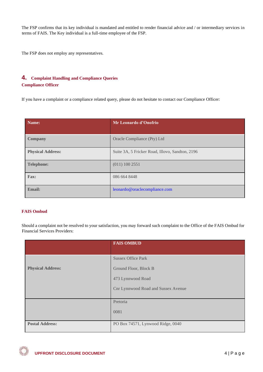The FSP confirms that its key individual is mandated and entitled to render financial advice and / or intermediary services in terms of FAIS. The Key individual is a full-time employee of the FSP.

The FSP does not employ any representatives.

# <span id="page-3-0"></span>**4. Complaint Handling and Compliance Queries Compliance Officer**

If you have a complaint or a compliance related query, please do not hesitate to contact our Compliance Officer:

| Name:                    | Mr Leonardo d'Onofrio                           |
|--------------------------|-------------------------------------------------|
| <b>Company</b>           | Oracle Compliance (Pty) Ltd                     |
| <b>Physical Address:</b> | Suite 3A, 5 Fricker Road, Illovo, Sandton, 2196 |
| <b>Telephone:</b>        | (011) 100 2551                                  |
| Fax:                     | 086 664 8448                                    |
| <b>Email:</b>            | leonardo@oraclecompliance.com                   |

#### **FAIS Ombud**

Should a complaint not be resolved to your satisfaction, you may forward such complaint to the Office of the FAIS Ombud for Financial Services Providers:

|                          | <b>FAIS OMBUD</b>                   |
|--------------------------|-------------------------------------|
|                          |                                     |
|                          | <b>Sussex Office Park</b>           |
| <b>Physical Address:</b> | Ground Floor, Block B               |
|                          | 473 Lynnwood Road                   |
|                          | Cnr Lynnwood Road and Sussex Avenue |
|                          |                                     |
|                          | Pretoria                            |
|                          | 0081                                |
|                          |                                     |
| <b>Postal Address:</b>   | PO Box 74571, Lynwood Ridge, 0040   |

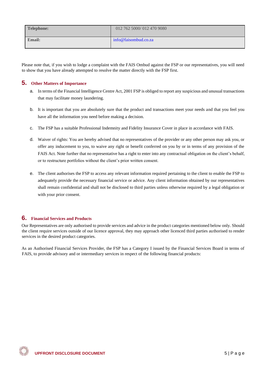| Telephone: | 012 762 5000/012 470 9080 |
|------------|---------------------------|
| Email:     | info@faisombud.co.za      |

Please note that, if you wish to lodge a complaint with the FAIS Ombud against the FSP or our representatives, you will need to show that you have already attempted to resolve the matter directly with the FSP first.

## <span id="page-4-0"></span>**5. Other Matters of Importance**

- a. In terms of the Financial Intelligence Centre Act, 2001 FSP is obliged to report any suspicious and unusual transactions that may facilitate money laundering.
- b. It is important that you are absolutely sure that the product and transactions meet your needs and that you feel you have all the information you need before making a decision.
- c. The FSP has a suitable Professional Indemnity and Fidelity Insurance Cover in place in accordance with FAIS.
- d. Waiver of rights: You are hereby advised that no representatives of the provider or any other person may ask you, or offer any inducement to you, to waive any right or benefit conferred on you by or in terms of any provision of the FAIS Act. Note further that no representative has a right to enter into any contractual obligation on the client's behalf, or to restructure portfolios without the client's prior written consent.
- e. The client authorises the FSP to access any relevant information required pertaining to the client to enable the FSP to adequately provide the necessary financial service or advice. Any client information obtained by our representatives shall remain confidential and shall not be disclosed to third parties unless otherwise required by a legal obligation or with your prior consent.

## <span id="page-4-1"></span>**6. Financial Services and Products**

Our Representatives are only authorised to provide services and advice in the product categories mentioned below only. Should the client require services outside of our licence approval, they may approach other licenced third parties authorised to render services in the desired product categories.

As an Authorised Financial Services Provider, the FSP has a Category I issued by the Financial Services Board in terms of FAIS, to provide advisory and or intermediary services in respect of the following financial products: